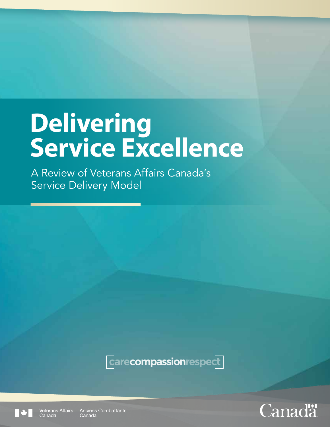# **Delivering Service Excellence**

A Review of Veterans Affairs Canada's Service Delivery Model







Canada

Veterans Affairs Anciens Combattants Canada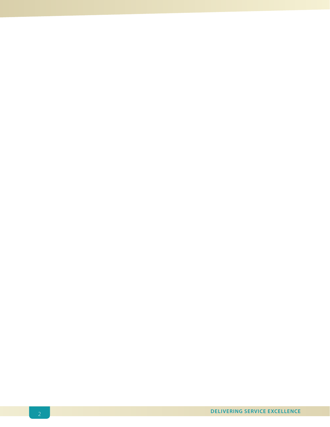# **DELIVERING SERVICE EXCELLENCE**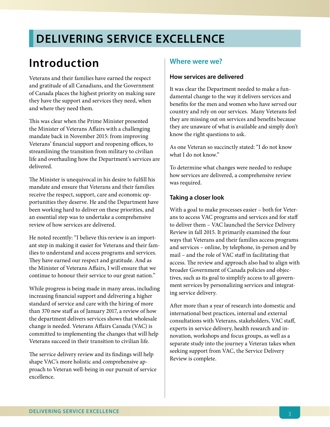# **DELIVERING SERVICE EXCELLENCE**

# **Introduction**

Veterans and their families have earned the respect and gratitude of all Canadians, and the Government of Canada places the highest priority on making sure they have the support and services they need, when and where they need them.

This was clear when the Prime Minister presented the Minister of Veterans Affairs with a challenging mandate back in November 2015: from improving Veterans' financial support and reopening offices, to streamlining the transition from military to civilian life and overhauling how the Department's services are delivered.

The Minister is unequivocal in his desire to fulfill his mandate and ensure that Veterans and their families receive the respect, support, care and economic opportunities they deserve. He and the Department have been working hard to deliver on these priorities, and an essential step was to undertake a comprehensive review of how services are delivered.

He noted recently: "I believe this review is an important step in making it easier for Veterans and their families to understand and access programs and services. They have earned our respect and gratitude. And as the Minister of Veterans Affairs, I will ensure that we continue to honour their service to our great nation."

While progress is being made in many areas, including increasing financial support and delivering a higher standard of service and care with the hiring of more than 370 new staff as of January 2017, a review of how the department delivers services shows that wholesale change is needed. Veterans Affairs Canada (VAC) is committed to implementing the changes that will help Veterans succeed in their transition to civilian life.

The service delivery review and its findings will help shape VAC's more holistic and comprehensive approach to Veteran well-being in our pursuit of service excellence.

#### **Where were we?**

#### **How services are delivered**

It was clear the Department needed to make a fundamental change to the way it delivers services and benefits for the men and women who have served our country and rely on our services. Many Veterans feel they are missing out on services and benefits because they are unaware of what is available and simply don't know the right questions to ask.

As one Veteran so succinctly stated: "I do not know what I do not know."

To determine what changes were needed to reshape how services are delivered, a comprehensive review was required.

#### **Taking a closer look**

With a goal to make processes easier – both for Veterans to access VAC programs and services and for staff to deliver them – VAC launched the Service Delivery Review in fall 2015. It primarily examined the four ways that Veterans and their families access programs and services – online, by telephone, in-person and by mail – and the role of VAC staff in facilitating that access. The review and approach also had to align with broader Government of Canada policies and objectives, such as its goal to simplify access to all government services by personalizing services and integrating service delivery.

After more than a year of research into domestic and international best practices, internal and external consultations with Veterans, stakeholders, VAC staff, experts in service delivery, health research and innovation, workshops and focus groups, as well as a separate study into the journey a Veteran takes when seeking support from VAC, the Service Delivery Review is complete.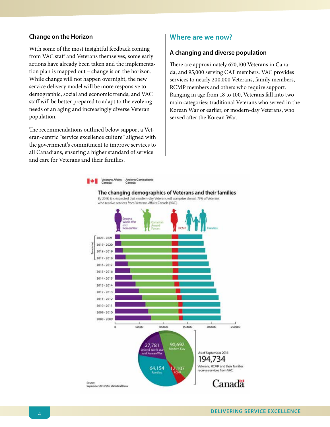#### **Change on the Horizon**

With some of the most insightful feedback coming from VAC staff and Veterans themselves, some early actions have already been taken and the implementation plan is mapped out – change is on the horizon. While change will not happen overnight, the new service delivery model will be more responsive to demographic, social and economic trends, and VAC staff will be better prepared to adapt to the evolving needs of an aging and increasingly diverse Veteran population.

The recommendations outlined below support a Veteran-centric "service excellence culture" aligned with the government's commitment to improve services to all Canadians, ensuring a higher standard of service and care for Veterans and their families.

#### **Where are we now?**

#### **A changing and diverse population**

There are approximately 670,100 Veterans in Canada, and 95,000 serving CAF members. VAC provides services to nearly 200,000 Veterans, family members, RCMP members and others who require support. Ranging in age from 18 to 100, Veterans fall into two main categories: traditional Veterans who served in the Korean War or earlier, or modern-day Veterans, who served after the Korean War.

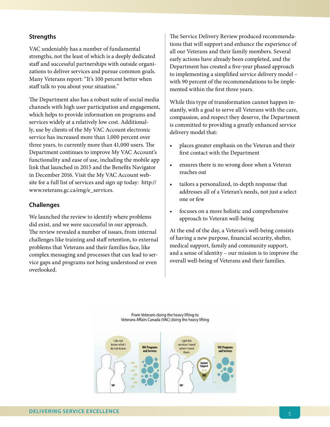#### **Strengths**

VAC undeniably has a number of fundamental strengths, not the least of which is a deeply dedicated staff and successful partnerships with outside organizations to deliver services and pursue common goals. Many Veterans report: "It's 100 percent better when staff talk to you about your situation."

The Department also has a robust suite of social media channels with high user participation and engagement, which helps to provide information on programs and services widely at a relatively low cost. Additionally, use by clients of the My VAC Account electronic service has increased more than 1,000 percent over three years, to currently more than 41,000 users. The Department continues to improve My VAC Account's functionality and ease of use, including the mobile app link that launched in 2015 and the Benefits Navigator in December 2016. Visit the My VAC Account website for a full list of services and sign up today: http:// www.veterans.gc.ca/eng/e\_services.

#### **Challenges**

We launched the review to identify where problems did exist, and we were successful in our approach. The review revealed a number of issues, from internal challenges like training and staff retention, to external problems that Veterans and their families face, like complex messaging and processes that can lead to service gaps and programs not being understood or even overlooked.

The Service Delivery Review produced recommendations that will support and enhance the experience of all our Veterans and their family members. Several early actions have already been completed, and the Department has created a five-year phased approach to implementing a simplified service delivery model – with 90 percent of the recommendations to be implemented within the first three years.

While this type of transformation cannot happen instantly, with a goal to serve all Veterans with the care, compassion, and respect they deserve, the Department is committed to providing a greatly enhanced service delivery model that:

- places greater emphasis on the Veteran and their first contact with the Department
- ensures there is no wrong door when a Veteran reaches out
- tailors a personalized, in-depth response that addresses all of a Veteran's needs, not just a select one or few
- focuses on a more holistic and comprehensive approach to Veteran well-being

At the end of the day, a Veteran's well-being consists of having a new purpose, financial security, shelter, medical support, family and community support, and a sense of identity – our mission is to improve the overall well-being of Veterans and their families.

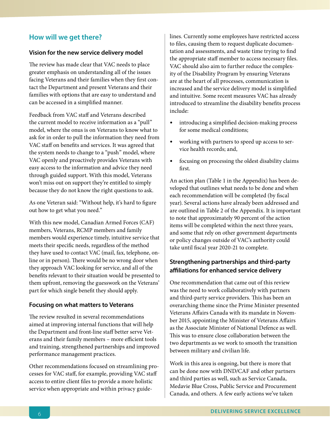#### **How will we get there?**

#### **Vision for the new service delivery model**

The review has made clear that VAC needs to place greater emphasis on understanding all of the issues facing Veterans and their families when they first contact the Department and present Veterans and their families with options that are easy to understand and can be accessed in a simplified manner.

Feedback from VAC staff and Veterans described the current model to receive information as a "pull" model, where the onus is on Veterans to know what to ask for in order to pull the information they need from VAC staff on benefits and services. It was agreed that the system needs to change to a "push" model, where VAC openly and proactively provides Veterans with easy access to the information and advice they need through guided support. With this model, Veterans won't miss out on support they're entitled to simply because they do not know the right questions to ask.

As one Veteran said: "Without help, it's hard to figure out how to get what you need."

With this new model, Canadian Armed Forces (CAF) members, Veterans, RCMP members and family members would experience timely, intuitive service that meets their specific needs, regardless of the method they have used to contact VAC (mail, fax, telephone, online or in person). There would be no wrong door when they approach VAC looking for service, and all of the benefits relevant to their situation would be presented to them upfront, removing the guesswork on the Veterans' part for which single benefit they should apply.

#### **Focusing on what matters to Veterans**

The review resulted in several recommendations aimed at improving internal functions that will help the Department and front-line staff better serve Veterans and their family members – more efficient tools and training, strengthened partnerships and improved performance management practices.

Other recommendations focused on streamlining processes for VAC staff, for example, providing VAC staff access to entire client files to provide a more holistic service when appropriate and within privacy guidelines. Currently some employees have restricted access to files, causing them to request duplicate documentation and assessments, and waste time trying to find the appropriate staff member to access necessary files. VAC should also aim to further reduce the complexity of the Disability Program by ensuring Veterans are at the heart of all processes, communication is increased and the service delivery model is simplified and intuitive. Some recent measures VAC has already introduced to streamline the disability benefits process include:

- introducing a simplified decision-making process for some medical conditions;
- working with partners to speed up access to service health records; and,
- focusing on processing the oldest disability claims first.

An action plan (Table 1 in the Appendix) has been developed that outlines what needs to be done and when each recommendation will be completed (by fiscal year). Several actions have already been addressed and are outlined in Table 2 of the Appendix. It is important to note that approximately 90 percent of the action items will be completed within the next three years, and some that rely on other government departments or policy changes outside of VAC's authority could take until fiscal year 2020-21 to complete.

#### **Strengthening partnerships and third-party affiliations for enhanced service delivery**

One recommendation that came out of this review was the need to work collaboratively with partners and third-party service providers. This has been an overarching theme since the Prime Minister presented Veterans Affairs Canada with its mandate in November 2015, appointing the Minister of Veterans Affairs as the Associate Minister of National Defence as well. This was to ensure close collaboration between the two departments as we work to smooth the transition between military and civilian life.

Work in this area is ongoing, but there is more that can be done now with DND/CAF and other partners and third parties as well, such as Service Canada, Medavie Blue Cross, Public Service and Procurement Canada, and others. A few early actions we've taken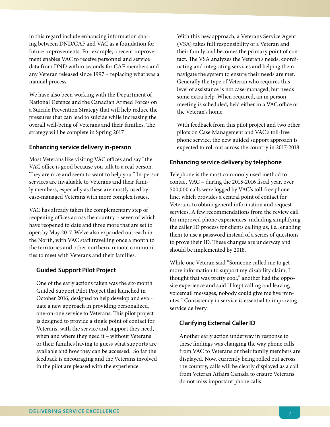in this regard include enhancing information sharing between DND/CAF and VAC as a foundation for future improvements. For example, a recent improvement enables VAC to receive personnel and service data from DND within seconds for CAF members and any Veteran released since 1997 – replacing what was a manual process.

We have also been working with the Department of National Defence and the Canadian Armed Forces on a Suicide Prevention Strategy that will help reduce the pressures that can lead to suicide while increasing the overall well-being of Veterans and their families. The strategy will be complete in Spring 2017.

#### **Enhancing service delivery in-person**

Most Veterans like visiting VAC offices and say "the VAC office is good because you talk to a real person. They are nice and seem to want to help you." In-person services are invaluable to Veterans and their family members, especially as these are mostly used by case-managed Veterans with more complex issues.

VAC has already taken the complementary step of reopening offices across the country – seven of which have reopened to date and three more that are set to open by May 2017. We've also expanded outreach in the North, with VAC staff travelling once a month to the territories and other northern, remote communities to meet with Veterans and their families.

#### **Guided Support Pilot Project**

One of the early actions taken was the six-month Guided Support Pilot Project that launched in October 2016, designed to help develop and evaluate a new approach in providing personalized, one-on-one service to Veterans. This pilot project is designed to provide a single point of contact for Veterans, with the service and support they need, when and where they need it – without Veterans or their families having to guess what supports are available and how they can be accessed. So far the feedback is encouraging and the Veterans involved in the pilot are pleased with the experience.

With this new approach, a Veterans Service Agent (VSA) takes full responsibility of a Veteran and their family and becomes the primary point of contact. The VSA analyzes the Veteran's needs, coordinating and integrating services and helping them navigate the system to ensure their needs are met. Generally the type of Veteran who requires this level of assistance is not case-managed, but needs some extra help. When required, an in person meeting is scheduled, held either in a VAC office or the Veteran's home.

With feedback from this pilot project and two other pilots on Case Management and VAC's toll-free phone service, the new guided support approach is expected to roll out across the country in 2017-2018.

#### **Enhancing service delivery by telephone**

Telephone is the most commonly used method to contact VAC – during the 2015-2016 fiscal year, over 500,000 calls were logged by VAC's toll-free phone line, which provides a central point of contact for Veterans to obtain general information and request services. A few recommendations from the review call for improved phone experiences, including simplifying the caller ID process for clients calling us, i.e., enabling them to use a password instead of a series of questions to prove their ID. These changes are underway and should be implemented by 2018.

While one Veteran said "Someone called me to get more information to support my disability claim, I thought that was pretty cool," another had the opposite experience and said "I kept calling and leaving voicemail messages, nobody could give me five minutes." Consistency in service is essential to improving service delivery.

#### **Clarifying External Caller ID**

Another early action underway in response to these findings was changing the way phone calls from VAC to Veterans or their family members are displayed. Now, currently being rolled out across the country, calls will be clearly displayed as a call from Veteran Affairs Canada to ensure Veterans do not miss important phone calls.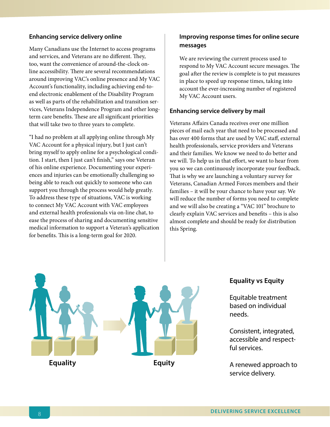#### **Enhancing service delivery online**

Many Canadians use the Internet to access programs and services, and Veterans are no different. They, too, want the convenience of around-the-clock online accessibility. There are several recommendations around improving VAC's online presence and My VAC Account's functionality, including achieving end-toend electronic enablement of the Disability Program as well as parts of the rehabilitation and transition services, Veterans Independence Program and other longterm care benefits. These are all significant priorities that will take two to three years to complete.

"I had no problem at all applying online through My VAC Account for a physical injury, but I just can't bring myself to apply online for a psychological condition. I start, then I just can't finish," says one Veteran of his online experience. Documenting your experiences and injuries can be emotionally challenging so being able to reach out quickly to someone who can support you through the process would help greatly. To address these type of situations, VAC is working to connect My VAC Account with VAC employees and external health professionals via on-line chat, to ease the process of sharing and documenting sensitive medical information to support a Veteran's application for benefits. This is a long-term goal for 2020.

#### **Improving response times for online secure messages**

We are reviewing the current process used to respond to My VAC Account secure messages. The goal after the review is complete is to put measures in place to speed up response times, taking into account the ever-increasing number of registered My VAC Account users.

#### **Enhancing service delivery by mail**

Veterans Affairs Canada receives over one million pieces of mail each year that need to be processed and has over 400 forms that are used by VAC staff, external health professionals, service providers and Veterans and their families. We know we need to do better and we will. To help us in that effort, we want to hear from you so we can continuously incorporate your feedback. That is why we are launching a voluntary survey for Veterans, Canadian Armed Forces members and their families – it will be your chance to have your say. We will reduce the number of forms you need to complete and we will also be creating a "VAC 101" brochure to clearly explain VAC services and benefits – this is also almost complete and should be ready for distribution this Spring.



#### **Equality vs Equity**

Equitable treatment based on individual needs.

Consistent, integrated, accessible and respectful services.

A renewed approach to service delivery.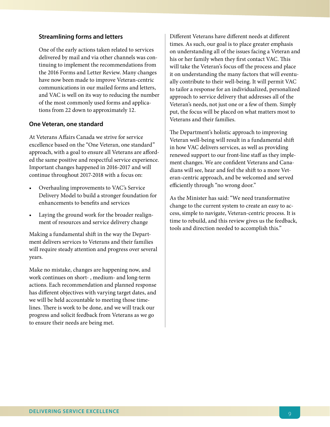#### **Streamlining forms and letters**

One of the early actions taken related to services delivered by mail and via other channels was continuing to implement the recommendations from the 2016 Forms and Letter Review. Many changes have now been made to improve Veteran-centric communications in our mailed forms and letters, and VAC is well on its way to reducing the number of the most commonly used forms and applications from 22 down to approximately 12.

#### **One Veteran, one standard**

At Veterans Affairs Canada we strive for service excellence based on the "One Veteran, one standard" approach, with a goal to ensure all Veterans are afforded the same positive and respectful service experience. Important changes happened in 2016-2017 and will continue throughout 2017-2018 with a focus on:

- Overhauling improvements to VAC's Service Delivery Model to build a stronger foundation for enhancements to benefits and services
- Laying the ground work for the broader realignment of resources and service delivery change

Making a fundamental shift in the way the Department delivers services to Veterans and their families will require steady attention and progress over several years.

Make no mistake, changes are happening now, and work continues on short- , medium- and long-term actions. Each recommendation and planned response has different objectives with varying target dates, and we will be held accountable to meeting those timelines. There is work to be done, and we will track our progress and solicit feedback from Veterans as we go to ensure their needs are being met.

Different Veterans have different needs at different times. As such, our goal is to place greater emphasis on understanding all of the issues facing a Veteran and his or her family when they first contact VAC. This will take the Veteran's focus off the process and place it on understanding the many factors that will eventually contribute to their well-being. It will permit VAC to tailor a response for an individualized, personalized approach to service delivery that addresses all of the Veteran's needs, not just one or a few of them. Simply put, the focus will be placed on what matters most to Veterans and their families.

The Department's holistic approach to improving Veteran well-being will result in a fundamental shift in how VAC delivers services, as well as providing renewed support to our front-line staff as they implement changes. We are confident Veterans and Canadians will see, hear and feel the shift to a more Veteran-centric approach, and be welcomed and served efficiently through "no wrong door."

As the Minister has said: "We need transformative change to the current system to create an easy to access, simple to navigate, Veteran-centric process. It is time to rebuild, and this review gives us the feedback, tools and direction needed to accomplish this."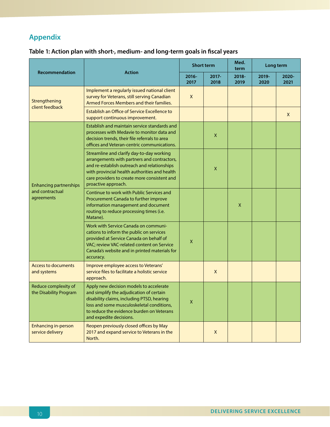## **Appendix**

| Table 1: Action plan with short-, medium- and long-term goals in fiscal years |
|-------------------------------------------------------------------------------|
|-------------------------------------------------------------------------------|

|                                                                | <b>Action</b>                                                                                                                                                                                                                                                   | <b>Short term</b> |                    | Med.<br>term     |               | Long term     |  |
|----------------------------------------------------------------|-----------------------------------------------------------------------------------------------------------------------------------------------------------------------------------------------------------------------------------------------------------------|-------------------|--------------------|------------------|---------------|---------------|--|
| Recommendation                                                 |                                                                                                                                                                                                                                                                 | $2016 -$<br>2017  | 2017-<br>2018      | $2018 -$<br>2019 | 2019-<br>2020 | 2020-<br>2021 |  |
| Strengthening<br>client feedback                               | Implement a regularly issued national client<br>survey for Veterans, still serving Canadian<br>Armed Forces Members and their families.                                                                                                                         | $\mathsf{X}$      |                    |                  |               |               |  |
|                                                                | Establish an Office of Service Excellence to<br>support continuous improvement.                                                                                                                                                                                 |                   |                    |                  |               | X             |  |
|                                                                | Establish and maintain service standards and<br>processes with Medavie to monitor data and<br>decision trends, their file referrals to area<br>offices and Veteran-centric communications.                                                                      |                   | $\pmb{\mathsf{X}}$ |                  |               |               |  |
| <b>Enhancing partnerships</b><br>and contractual<br>agreements | Streamline and clarify day-to-day working<br>arrangements with partners and contractors,<br>and re-establish outreach and relationships<br>with provincial health authorities and health<br>care providers to create more consistent and<br>proactive approach. |                   | $\pmb{\mathsf{X}}$ |                  |               |               |  |
|                                                                | Continue to work with Public Services and<br>Procurement Canada to further improve<br>information management and document<br>routing to reduce processing times (i.e.<br>Matane).                                                                               |                   |                    | X                |               |               |  |
|                                                                | Work with Service Canada on communi-<br>cations to inform the public on services<br>provided at Service Canada on behalf of<br>VAC; review VAC-related content on Service<br>Canada's website and in printed materials for<br>accuracy.                         | $\mathsf{X}$      |                    |                  |               |               |  |
| <b>Access to documents</b><br>and systems                      | Improve employee access to Veterans'<br>service files to facilitate a holistic service<br>approach.                                                                                                                                                             |                   | $\pmb{\mathsf{X}}$ |                  |               |               |  |
| Reduce complexity of<br>the Disability Program                 | Apply new decision models to accelerate<br>and simplify the adjudication of certain<br>disability claims, including PTSD, hearing<br>loss and some musculoskeletal conditions,<br>to reduce the evidence burden on Veterans<br>and expedite decisions.          | $\boldsymbol{X}$  |                    |                  |               |               |  |
| <b>Enhancing in-person</b><br>service delivery                 | Reopen previously closed offices by May<br>2017 and expand service to Veterans in the<br>North.                                                                                                                                                                 |                   | X                  |                  |               |               |  |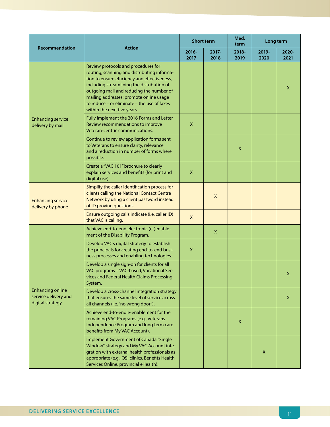|                                                                     | <b>Action</b>                                                                                                                                                                                                                                                                                                                                         | <b>Short term</b>         |                  | Med.<br>term     | Long term     |                  |
|---------------------------------------------------------------------|-------------------------------------------------------------------------------------------------------------------------------------------------------------------------------------------------------------------------------------------------------------------------------------------------------------------------------------------------------|---------------------------|------------------|------------------|---------------|------------------|
| <b>Recommendation</b>                                               |                                                                                                                                                                                                                                                                                                                                                       | $2016 -$<br>2017          | $2017 -$<br>2018 | $2018 -$<br>2019 | 2019-<br>2020 | 2020-<br>2021    |
| <b>Enhancing service</b><br>delivery by mail                        | Review protocols and procedures for<br>routing, scanning and distributing informa-<br>tion to ensure efficiency and effectiveness,<br>including streamlining the distribution of<br>outgoing mail and reducing the number of<br>mailing addresses; promote online usage<br>to reduce - or eliminate - the use of faxes<br>within the next five years. |                           |                  |                  |               | $\boldsymbol{X}$ |
|                                                                     | Fully implement the 2016 Forms and Letter<br>Review recommendations to improve<br>Veteran-centric communications.                                                                                                                                                                                                                                     | $\boldsymbol{\mathsf{X}}$ |                  |                  |               |                  |
|                                                                     | Continue to review application forms sent<br>to Veterans to ensure clarity, relevance<br>and a reduction in number of forms where<br>possible.                                                                                                                                                                                                        |                           |                  | X                |               |                  |
|                                                                     | Create a "VAC 101" brochure to clearly<br>explain services and benefits (for print and<br>digital use).                                                                                                                                                                                                                                               | $\mathsf{X}$              |                  |                  |               |                  |
| <b>Enhancing service</b><br>delivery by phone                       | Simplify the caller identification process for<br>clients calling the National Contact Centre<br>Network by using a client password instead<br>of ID proving questions.                                                                                                                                                                               |                           | $\boldsymbol{X}$ |                  |               |                  |
|                                                                     | Ensure outgoing calls indicate (i.e. caller ID)<br>that VAC is calling.                                                                                                                                                                                                                                                                               | $\mathsf{X}$              |                  |                  |               |                  |
| <b>Enhancing online</b><br>service delivery and<br>digital strategy | Achieve end-to-end electronic (e-)enable-<br>ment of the Disability Program.                                                                                                                                                                                                                                                                          |                           | $\mathsf{X}$     |                  |               |                  |
|                                                                     | Develop VAC's digital strategy to establish<br>the principals for creating end-to-end busi-<br>ness processes and enabling technologies.                                                                                                                                                                                                              | $\mathsf{X}$              |                  |                  |               |                  |
|                                                                     | Develop a single sign-on for clients for all<br>VAC programs - VAC-based, Vocational Ser-<br>vices and Federal Health Claims Processing<br>System.                                                                                                                                                                                                    |                           |                  |                  |               | X                |
|                                                                     | Develop a cross-channel integration strategy<br>that ensures the same level of service across<br>all channels (i.e. "no wrong door").                                                                                                                                                                                                                 |                           |                  |                  |               | $\mathsf{X}$     |
|                                                                     | Achieve end-to-end e-enablement for the<br>remaining VAC Programs (e.g., Veterans<br>Independence Program and long term care<br>benefits from My VAC Account).                                                                                                                                                                                        |                           |                  | X                |               |                  |
|                                                                     | Implement Government of Canada "Single<br>Window" strategy and My VAC Account inte-<br>gration with external health professionals as<br>appropriate (e.g., OSI clinics, Benefits Health<br>Services Online, provincial eHealth).                                                                                                                      |                           |                  |                  | $\mathsf{X}$  |                  |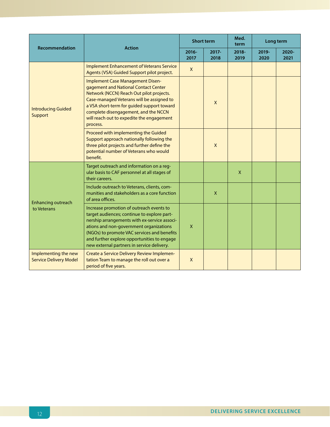| Recommendation                                        | <b>Action</b>                                                                                                                                                                                                                                                                                                                  | <b>Short term</b> |                  | Med.<br>Long term<br>term |               |                  |
|-------------------------------------------------------|--------------------------------------------------------------------------------------------------------------------------------------------------------------------------------------------------------------------------------------------------------------------------------------------------------------------------------|-------------------|------------------|---------------------------|---------------|------------------|
|                                                       |                                                                                                                                                                                                                                                                                                                                | $2016 -$<br>2017  | $2017 -$<br>2018 | $2018 -$<br>2019          | 2019-<br>2020 | $2020 -$<br>2021 |
|                                                       | <b>Implement Enhancement of Veterans Service</b><br>Agents (VSA) Guided Support pilot project.                                                                                                                                                                                                                                 | $\mathsf{X}$      |                  |                           |               |                  |
| <b>Introducing Guided</b><br><b>Support</b>           | Implement Case Management Disen-<br>gagement and National Contact Center<br>Network (NCCN) Reach Out pilot projects.<br>Case-managed Veterans will be assigned to<br>a VSA short-term for guided support toward<br>complete disengagement, and the NCCN<br>will reach out to expedite the engagement<br>process.               |                   | $\mathsf{X}$     |                           |               |                  |
|                                                       | Proceed with implementing the Guided<br>Support approach nationally following the<br>three pilot projects and further define the<br>potential number of Veterans who would<br>benefit.                                                                                                                                         |                   | $\boldsymbol{X}$ |                           |               |                  |
| Enhancing outreach<br>to Veterans                     | Target outreach and information on a reg-<br>ular basis to CAF personnel at all stages of<br>their careers.                                                                                                                                                                                                                    |                   |                  | X                         |               |                  |
|                                                       | Include outreach to Veterans, clients, com-<br>munities and stakeholders as a core function<br>of area offices.                                                                                                                                                                                                                |                   | X                |                           |               |                  |
|                                                       | Increase promotion of outreach events to<br>target audiences; continue to explore part-<br>nership arrangements with ex-service associ-<br>ations and non-government organizations<br>(NGOs) to promote VAC services and benefits<br>and further explore opportunities to engage<br>new external partners in service delivery. | $\mathsf{X}$      |                  |                           |               |                  |
| Implementing the new<br><b>Service Delivery Model</b> | Create a Service Delivery Review Implemen-<br>tation Team to manage the roll out over a<br>period of five years.                                                                                                                                                                                                               | $\mathsf{X}$      |                  |                           |               |                  |